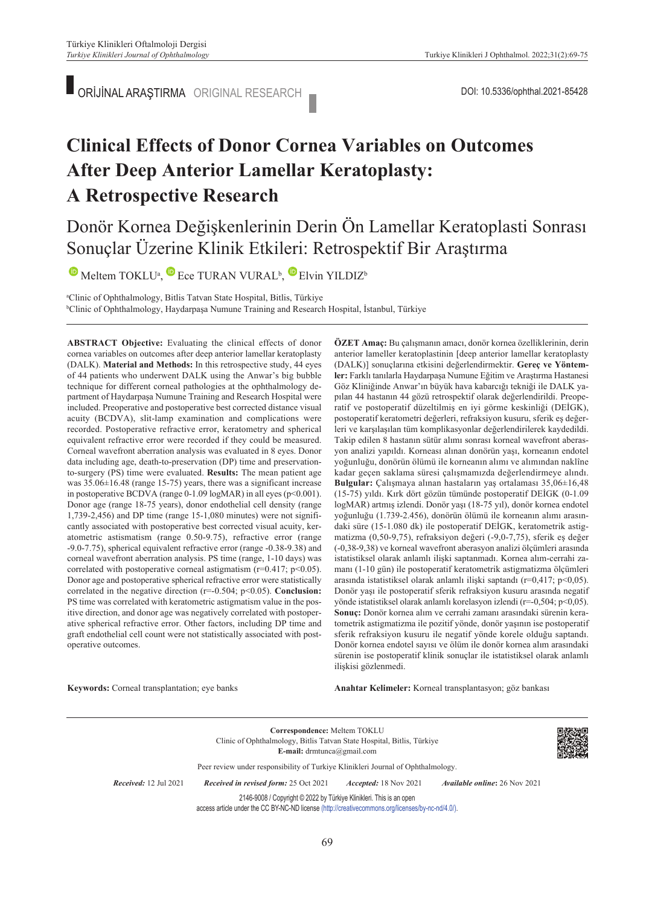ORİJİNAL ARAŞTIRMA ORIGINAL RESEARCH

# **Clinical Effects of Donor Cornea Variables on Outcomes After Deep Anterior Lamellar Keratoplasty: A Retrospective Research**

### Donör Kornea Değişkenlerinin Derin Ön Lamellar Keratoplasti Sonrası Sonuçlar Üzerine Klinik Etkileri: Retrospektif Bir Araştırma

 $\bullet$ Meltem TOKLU<sup>a</sup>,  $\bullet$  Ece TURAN VURAL<sup>b</sup>,  $\bullet$  Elvin YILDIZ<sup>b</sup>

a Clinic of Ophthalmology, Bitlis Tatvan State Hospital, Bitlis, Türkiye b Clinic of Ophthalmology, Haydarpaşa Numune Training and Research Hospital, İstanbul, Türkiye

**ABS TRACT Objective:** Evaluating the clinical effects of donor cornea variables on outcomes after deep anterior lamellar keratoplasty (DALK). **Material and Methods:** In this retrospective study, 44 eyes of 44 patients who underwent DALK using the Anwar's big bubble technique for different corneal pathologies at the ophthalmology department of Haydarpaşa Numune Training and Research Hospital were included. Preoperative and postoperative best corrected distance visual acuity (BCDVA), slit-lamp examination and complications were recorded. Postoperative refractive error, keratometry and spherical equivalent refractive error were recorded if they could be measured. Corneal wavefront aberration analysis was evaluated in 8 eyes. Donor data including age, death-to-preservation (DP) time and preservationto-surgery (PS) time were evaluated. **Results:** The mean patient age was 35.06±16.48 (range 15-75) years, there was a significant increase in postoperative BCDVA (range 0-1.09 logMAR) in all eyes (p<0.001). Donor age (range 18-75 years), donor endothelial cell density (range 1,739-2,456) and DP time (range 15-1,080 minutes) were not significantly associated with postoperative best corrected visual acuity, keratometric astismatism (range 0.50-9.75), refractive error (range -9.0-7.75), spherical equivalent refractive error (range -0.38-9.38) and corneal wavefront aberration analysis. PS time (range, 1-10 days) was correlated with postoperative corneal astigmatism ( $r=0.417$ ;  $p<0.05$ ). Donor age and postoperative spherical refractive error were statistically correlated in the negative direction (r=-0.504; p<0.05). **Conclusion:** PS time was correlated with keratometric astigmatism value in the positive direction, and donor age was negatively correlated with postoperative spherical refractive error. Other factors, including DP time and graft endothelial cell count were not statistically associated with postoperative outcomes.

**ÖZET Amaç:** Bu çalışmanın amacı, donör kornea özelliklerinin, derin anterior lameller keratoplastinin [deep anterior lamellar keratoplasty (DALK)] sonuçlarına etkisini değerlendirmektir. **Gereç ve Yöntemler:** Farklı tanılarla Haydarpaşa Numune Eğitim ve Araştırma Hastanesi Göz Kliniğinde Anwar'ın büyük hava kabarcığı tekniği ile DALK yapılan 44 hastanın 44 gözü retrospektif olarak değerlendirildi. Preoperatif ve postoperatif düzeltilmiş en iyi görme keskinliği (DEİGK), postoperatif keratometri değerleri, refraksiyon kusuru, sferik eş değerleri ve karşılaşılan tüm komplikasyonlar değerlendirilerek kaydedildi. Takip edilen 8 hastanın sütür alımı sonrası korneal wavefront aberasyon analizi yapıldı. Korneası alınan donörün yaşı, korneanın endotel yoğunluğu, donörün ölümü ile korneanın alımı ve alımından naklîne kadar geçen saklama süresi çalışmamızda değerlendirmeye alındı. **Bulgular:** Çalışmaya alınan hastaların yaş ortalaması 35,06±16,48 (15-75) yıldı. Kırk dört gözün tümünde postoperatif DEİGK (0-1.09 logMAR) artmış izlendi. Donör yaşı (18-75 yıl), donör kornea endotel yoğunluğu (1.739-2.456), donörün ölümü ile korneanın alımı arasındaki süre (15-1.080 dk) ile postoperatif DEİGK, keratometrik astigmatizma (0,50-9,75), refraksiyon değeri (-9,0-7,75), sferik eş değer (-0,38-9,38) ve korneal wavefront aberasyon analizi ölçümleri arasında istatistiksel olarak anlamlı ilişki saptanmadı. Kornea alım-cerrahi zamanı (1-10 gün) ile postoperatif keratometrik astigmatizma ölçümleri arasında istatistiksel olarak anlamlı ilişki saptandı (r=0,417; p<0,05). Donör yaşı ile postoperatif sferik refraksiyon kusuru arasında negatif yönde istatistiksel olarak anlamlı korelasyon izlendi (r=-0,504; p<0,05). **Sonuç:** Donör kornea alım ve cerrahi zamanı arasındaki sürenin keratometrik astigmatizma ile pozitif yönde, donör yaşının ise postoperatif sferik refraksiyon kusuru ile negatif yönde korele olduğu saptandı. Donör kornea endotel sayısı ve ölüm ile donör kornea alım arasındaki sürenin ise postoperatif klinik sonuçlar ile istatistiksel olarak anlamlı ilişkisi gözlenmedi.

**Keywords:** Corneal transplantation; eye banks

Anahtar Kelimeler: Korneal transplantasyon; göz bankası

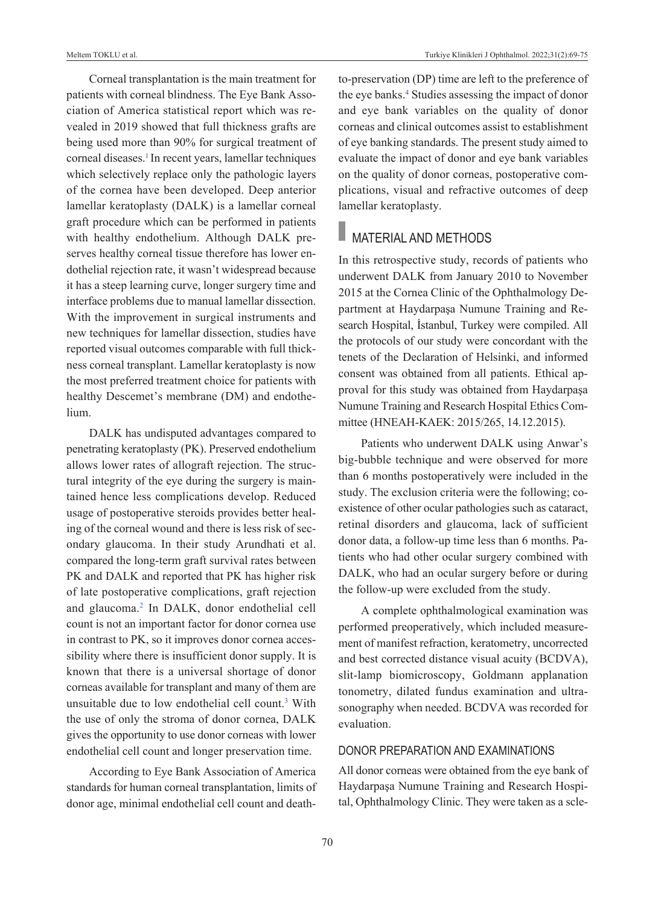Corneal transplantation is the main treatment for patients with corneal blindness. The Eye Bank Association of America statistical report which was revealed in 2019 showed that full thickness grafts are being used more than 90% for surgical treatment of corneal diseases.<sup>1</sup> In recent years, lamellar techniques which selectively replace only the pathologic layers of the cornea have been developed. Deep anterior lamellar keratoplasty (DALK) is a lamellar corneal graft procedure which can be performed in patients with healthy endothelium. Although DALK preserves healthy corneal tissue therefore has lower endothelial rejection rate, it wasn't widespread because it has a steep learning curve, longer surgery time and interface problems due to manual lamellar dissection. With the improvement in surgical instruments and new techniques for lamellar dissection, studies have reported visual outcomes comparable with full thickness corneal transplant. Lamellar keratoplasty is now the most preferred treatment choice for patients with healthy Descemet's membrane (DM) and endothelium.

DALK has undisputed advantages compared to penetrating keratoplasty (PK). Preserved endothelium allows lower rates of allograft rejection. The structural integrity of the eye during the surgery is maintained hence less complications develop. Reduced usage of postoperative steroids provides better healing of the corneal wound and there is less risk of secondary glaucoma. In their study Arundhati et al. compared the long-term graft survival rates between PK and DALK and reported that PK has higher risk of late postoperative complications, graft rejection and glaucoma[.2](#page-6-0) In DALK, donor endothelial cell count is not an important factor for donor cornea use in contrast to PK, so it improves donor cornea accessibility where there is insufficient donor supply. It is known that there is a universal shortage of donor corneas available for transplant and many of them are unsuitable due to low endothelial cell count.<sup>3</sup> With the use of only the stroma of donor cornea, DALK gives the opportunity to use donor corneas with lower endothelial cell count and longer preservation time.

According to Eye Bank Association of America standards for human corneal transplantation, limits of donor age, minimal endothelial cell count and deathto-preservation (DP) time are left to the preference of the eye banks.<sup>4</sup> Studies assessing the impact of donor and eye bank variables on the quality of donor corneas and clinical outcomes assist to establishment of eye banking standards. The present study aimed to evaluate the impact of donor and eye bank variables on the quality of donor corneas, postoperative complications, visual and refractive outcomes of deep lamellar keratoplasty.

## **MATERIAL AND METHODS**

In this retrospective study, records of patients who underwent DALK from January 2010 to November 2015 at the Cornea Clinic of the Ophthalmology Department at Haydarpaşa Numune Training and Research Hospital, İstanbul, Turkey were compiled. All the protocols of our study were concordant with the tenets of the Declaration of Helsinki, and informed consent was obtained from all patients. Ethical approval for this study was obtained from Haydarpaşa Numune Training and Research Hospital Ethics Committee (HNEAH-KAEK: 2015/265, 14.12.2015).

Patients who underwent DALK using Anwar's big-bubble technique and were observed for more than 6 months postoperatively were included in the study. The exclusion criteria were the following; coexistence of other ocular pathologies such as cataract, retinal disorders and glaucoma, lack of sufficient donor data, a follow-up time less than 6 months. Patients who had other ocular surgery combined with DALK, who had an ocular surgery before or during the follow-up were excluded from the study.

A complete ophthalmological examination was performed preoperatively, which included measurement of manifest refraction, keratometry, uncorrected and best corrected distance visual acuity (BCDVA), slit-lamp biomicroscopy, Goldmann applanation tonometry, dilated fundus examination and ultrasonography when needed. BCDVA was recorded for evaluation.

### DONOR PREPARATION AND ExAMINATIONS

All donor corneas were obtained from the eye bank of Haydarpaşa Numune Training and Research Hospital, Ophthalmology Clinic. They were taken as a scle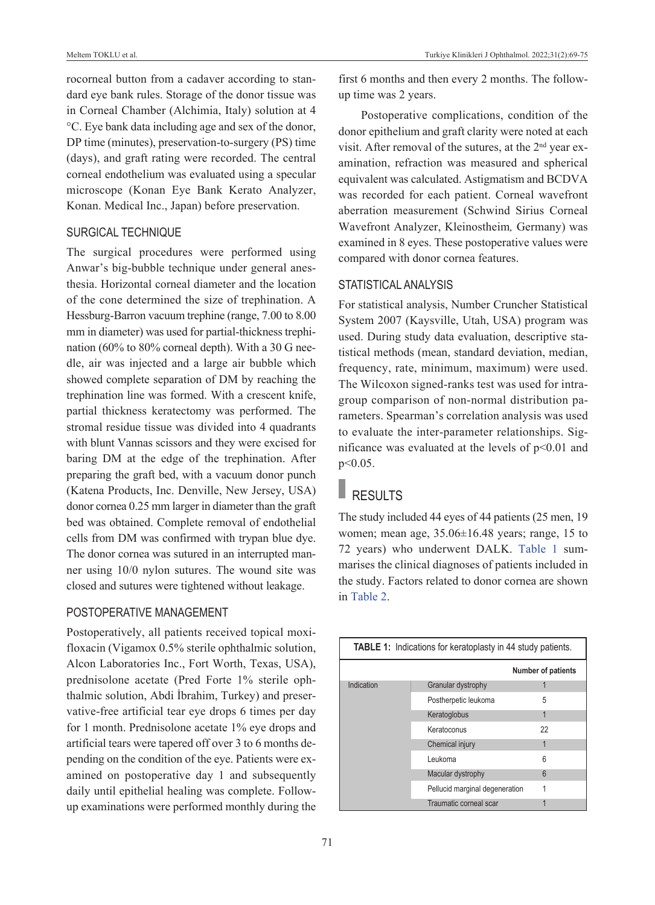Meltem TOKLU et al. **Turkiye Klinikleri J Ophthalmol.** 2022;31(2):69-75

rocorneal button from a cadaver according to standard eye bank rules. Storage of the donor tissue was in Corneal Chamber (Alchimia, Italy) solution at 4 °C. Eye bank data including age and sex of the donor, DP time (minutes), preservation-to-surgery (PS) time (days), and graft rating were recorded. The central corneal endothelium was evaluated using a specular microscope (Konan Eye Bank Kerato Analyzer, Konan. Medical Inc., Japan) before preservation.

### SuRGICAL TECHNIquE

The surgical procedures were performed using Anwar's big-bubble technique under general anesthesia. Horizontal corneal diameter and the location of the cone determined the size of trephination. A Hessburg-Barron vacuum trephine (range, 7.00 to 8.00 mm in diameter) was used for partial-thickness trephination (60% to 80% corneal depth). With a 30 G needle, air was injected and a large air bubble which showed complete separation of DM by reaching the trephination line was formed. With a crescent knife, partial thickness keratectomy was performed. The stromal residue tissue was divided into 4 quadrants with blunt Vannas scissors and they were excised for baring DM at the edge of the trephination. After preparing the graft bed, with a vacuum donor punch (Katena Products, Inc. Denville, New Jersey, USA) donor cornea 0.25 mm larger in diameter than the graft bed was obtained. Complete removal of endothelial cells from DM was confirmed with trypan blue dye. The donor cornea was sutured in an interrupted manner using 10/0 nylon sutures. The wound site was closed and sutures were tightened without leakage.

### POSTOPERATIvE MANAGEMENT

Postoperatively, all patients received topical moxifloxacin (Vigamox 0.5% sterile ophthalmic solution, Alcon Laboratories Inc., Fort Worth, Texas, USA), prednisolone acetate (Pred Forte 1% sterile ophthalmic solution, Abdi İbrahim, Turkey) and preservative-free artificial tear eye drops 6 times per day for 1 month. Prednisolone acetate 1% eye drops and artificial tears were tapered off over 3 to 6 months depending on the condition of the eye. Patients were examined on postoperative day 1 and subsequently daily until epithelial healing was complete. Followup examinations were performed monthly during the first 6 months and then every 2 months. The followup time was 2 years.

Postoperative complications, condition of the donor epithelium and graft clarity were noted at each visit. After removal of the sutures, at the  $2<sup>nd</sup>$  year examination, refraction was measured and spherical equivalent was calculated. Astigmatism and BCDVA was recorded for each patient. Corneal wavefront aberration measurement (Schwind Sirius Corneal Wavefront Analyzer, Kleinostheim*,* Germany) was examined in 8 eyes. These postoperative values were compared with donor cornea features.

### STATISTICAL ANALYSIS

For statistical analysis, Number Cruncher Statistical System 2007 (Kaysville, Utah, USA) program was used. During study data evaluation, descriptive statistical methods (mean, standard deviation, median, frequency, rate, minimum, maximum) were used. The Wilcoxon signed-ranks test was used for intragroup comparison of non-normal distribution parameters. Spearman's correlation analysis was used to evaluate the inter-parameter relationships. Significance was evaluated at the levels of p<0.01 and p<0.05.

# RESULTS

The study included 44 eyes of 44 patients (25 men, 19 women; mean age, 35.06±16.48 years; range, 15 to 72 years) who underwent DALK. [Table 1](#page-2-0) summarises the clinical diagnoses of patients included in the study. Factors related to donor cornea are shown in [Table 2.](#page-3-0)

<span id="page-2-0"></span>

| <b>TABLE 1:</b> Indications for keratoplasty in 44 study patients. |                                |                           |  |  |  |  |  |
|--------------------------------------------------------------------|--------------------------------|---------------------------|--|--|--|--|--|
|                                                                    |                                | <b>Number of patients</b> |  |  |  |  |  |
| Indication                                                         | Granular dystrophy             |                           |  |  |  |  |  |
|                                                                    | Postherpetic leukoma           | 5                         |  |  |  |  |  |
|                                                                    | Keratoglobus                   | 1                         |  |  |  |  |  |
|                                                                    | Keratoconus                    | 22                        |  |  |  |  |  |
|                                                                    | Chemical injury                | 1                         |  |  |  |  |  |
|                                                                    | Leukoma                        | 6                         |  |  |  |  |  |
|                                                                    | Macular dystrophy              | 6                         |  |  |  |  |  |
|                                                                    | Pellucid marginal degeneration |                           |  |  |  |  |  |
|                                                                    | Traumatic corneal scar         |                           |  |  |  |  |  |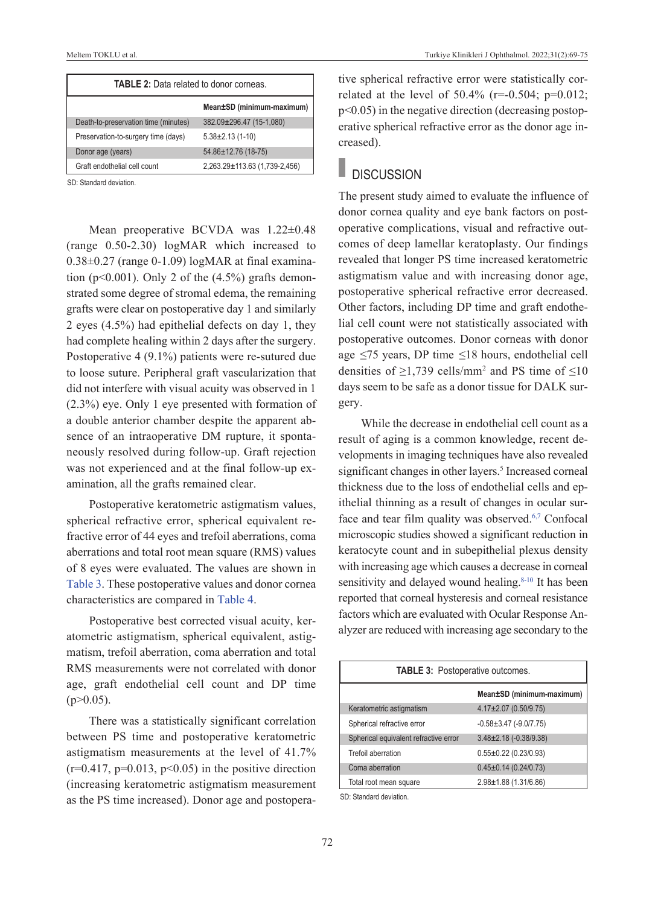| <b>TABLE 2:</b> Data related to donor corneas. |                               |  |  |  |  |
|------------------------------------------------|-------------------------------|--|--|--|--|
|                                                | Mean±SD (minimum-maximum)     |  |  |  |  |
| Death-to-preservation time (minutes)           | 382.09±296.47 (15-1,080)      |  |  |  |  |
| Preservation-to-surgery time (days)            | $5.38 \pm 2.13$ (1-10)        |  |  |  |  |
| Donor age (years)                              | 54.86±12.76 (18-75)           |  |  |  |  |
| Graft endothelial cell count                   | 2,263.29±113.63 (1,739-2,456) |  |  |  |  |

SD: Standard deviation.

Mean preoperative BCVDA was 1.22±0.48 (range 0.50-2.30) logMAR which increased to  $0.38\pm0.27$  (range 0-1.09) logMAR at final examination ( $p<0.001$ ). Only 2 of the  $(4.5\%)$  grafts demonstrated some degree of stromal edema, the remaining grafts were clear on postoperative day 1 and similarly 2 eyes (4.5%) had epithelial defects on day 1, they had complete healing within 2 days after the surgery. Postoperative 4 (9.1%) patients were re-sutured due to loose suture. Peripheral graft vascularization that did not interfere with visual acuity was observed in 1 (2.3%) eye. Only 1 eye presented with formation of a double anterior chamber despite the apparent absence of an intraoperative DM rupture, it spontaneously resolved during follow-up. Graft rejection was not experienced and at the final follow-up examination, all the grafts remained clear.

Postoperative keratometric astigmatism values, spherical refractive error, spherical equivalent refractive error of 44 eyes and trefoil aberrations, coma aberrations and total root mean square (RMS) values of 8 eyes were evaluated. The values are shown in [Table 3.](#page-3-1) These postoperative values and donor cornea characteristics are compared in [Table 4.](#page-4-0)

Postoperative best corrected visual acuity, keratometric astigmatism, spherical equivalent, astigmatism, trefoil aberration, coma aberration and total RMS measurements were not correlated with donor age, graft endothelial cell count and DP time  $(p>0.05)$ .

There was a statistically significant correlation between PS time and postoperative keratometric astigmatism measurements at the level of 41.7%  $(r=0.417, p=0.013, p<0.05)$  in the positive direction (increasing keratometric astigmatism measurement as the PS time increased). Donor age and postopera<span id="page-3-0"></span>tive spherical refractive error were statistically correlated at the level of  $50.4\%$  (r=-0.504; p=0.012; p<0.05) in the negative direction (decreasing postoperative spherical refractive error as the donor age increased).

### **DISCUSSION**

The present study aimed to evaluate the influence of donor cornea quality and eye bank factors on postoperative complications, visual and refractive outcomes of deep lamellar keratoplasty. Our findings revealed that longer PS time increased keratometric astigmatism value and with increasing donor age, postoperative spherical refractive error decreased. Other factors, including DP time and graft endothelial cell count were not statistically associated with postoperative outcomes. Donor corneas with donor age  ≤75 years, DP time ≤18 hours, endothelial cell densities of  $\geq$ 1,739 cells/mm<sup>2</sup> and PS time of  $\leq$ 10 days seem to be safe as a donor tissue for DALK surgery.

While the decrease in endothelial cell count as a result of aging is a common knowledge, recent developments in imaging techniques have also revealed significant changes in other layers.<sup>5</sup> Increased corneal thickness due to the loss of endothelial cells and epithelial thinning as a result of changes in ocular surface and tear film quality was observed[.6,7](#page-6-0) Confocal microscopic studies showed a significant reduction in keratocyte count and in subepithelial plexus density with increasing age which causes a decrease in corneal sensitivity and delayed wound healing. $8-10$  It has been reported that corneal hysteresis and corneal resistance factors which are evaluated with Ocular Response Analyzer are reduced with increasing age secondary to the

<span id="page-3-1"></span>

| <b>TABLE 3: Postoperative outcomes.</b> |                                  |  |  |  |  |
|-----------------------------------------|----------------------------------|--|--|--|--|
|                                         | Mean±SD (minimum-maximum)        |  |  |  |  |
| Keratometric astigmatism                | $4.17 \pm 2.07$ (0.50/9.75)      |  |  |  |  |
| Spherical refractive error              | $-0.58 \pm 3.47$ ( $-9.0/7.75$ ) |  |  |  |  |
| Spherical equivalent refractive error   | $3.48 \pm 2.18$ (-0.38/9.38)     |  |  |  |  |
| Trefoil aberration                      | $0.55 \pm 0.22$ (0.23/0.93)      |  |  |  |  |
| Coma aberration                         | $0.45 \pm 0.14$ (0.24/0.73)      |  |  |  |  |
| Total root mean square                  | $2.98 \pm 1.88$ (1.31/6.86)      |  |  |  |  |

SD: Standard deviation.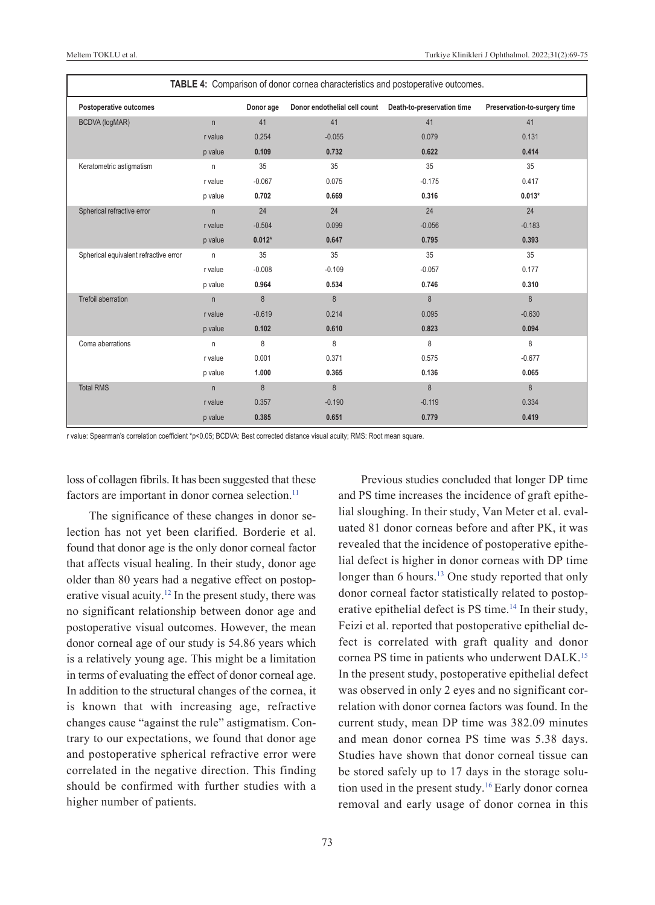| TABLE 4: Comparison of donor cornea characteristics and postoperative outcomes. |              |           |                                                          |          |                              |  |
|---------------------------------------------------------------------------------|--------------|-----------|----------------------------------------------------------|----------|------------------------------|--|
| Postoperative outcomes                                                          |              | Donor age | Donor endothelial cell count  Death-to-preservation time |          | Preservation-to-surgery time |  |
| <b>BCDVA</b> (logMAR)                                                           | $\mathsf{n}$ | 41        | 41                                                       | 41       | 41                           |  |
|                                                                                 | r value      | 0.254     | $-0.055$                                                 | 0.079    | 0.131                        |  |
|                                                                                 | p value      | 0.109     | 0.732                                                    | 0.622    | 0.414                        |  |
| Keratometric astigmatism                                                        | n            | 35        | 35                                                       | 35       | 35                           |  |
|                                                                                 | r value      | $-0.067$  | 0.075                                                    | $-0.175$ | 0.417                        |  |
|                                                                                 | p value      | 0.702     | 0.669                                                    | 0.316    | $0.013*$                     |  |
| Spherical refractive error                                                      | $\mathsf{n}$ | 24        | 24                                                       | 24       | 24                           |  |
|                                                                                 | r value      | $-0.504$  | 0.099                                                    | $-0.056$ | $-0.183$                     |  |
|                                                                                 | p value      | $0.012*$  | 0.647                                                    | 0.795    | 0.393                        |  |
| Spherical equivalent refractive error                                           | n            | 35        | 35                                                       | 35       | 35                           |  |
|                                                                                 | r value      | $-0.008$  | $-0.109$                                                 | $-0.057$ | 0.177                        |  |
|                                                                                 | p value      | 0.964     | 0.534                                                    | 0.746    | 0.310                        |  |
| <b>Trefoil aberration</b>                                                       | n            | 8         | 8                                                        | 8        | 8                            |  |
|                                                                                 | r value      | $-0.619$  | 0.214                                                    | 0.095    | $-0.630$                     |  |
|                                                                                 | p value      | 0.102     | 0.610                                                    | 0.823    | 0.094                        |  |
| Coma aberrations                                                                | n            | 8         | 8                                                        | 8        | 8                            |  |
|                                                                                 | r value      | 0.001     | 0.371                                                    | 0.575    | $-0.677$                     |  |
|                                                                                 | p value      | 1.000     | 0.365                                                    | 0.136    | 0.065                        |  |
| <b>Total RMS</b>                                                                | n            | $\bf 8$   | 8                                                        | 8        | 8                            |  |
|                                                                                 | r value      | 0.357     | $-0.190$                                                 | $-0.119$ | 0.334                        |  |
|                                                                                 | p value      | 0.385     | 0.651                                                    | 0.779    | 0.419                        |  |

r value: Spearman's correlation coefficient \*p<0.05; BCDvA: Best corrected distance visual acuity; RMS: Root mean square.

loss of collagen fibrils. It has been suggested that these factors are important in donor cornea selection.<sup>11</sup>

The significance of these changes in donor selection has not yet been clarified. Borderie et al. found that donor age is the only donor corneal factor that affects visual healing. In their study, donor age older than 80 years had a negative effect on postoperative visual acuity[.12](#page-6-0) In the present study, there was no significant relationship between donor age and postoperative visual outcomes. However, the mean donor corneal age of our study is 54.86 years which is a relatively young age. This might be a limitation in terms of evaluating the effect of donor corneal age. In addition to the structural changes of the cornea, it is known that with increasing age, refractive changes cause "against the rule" astigmatism. Contrary to our expectations, we found that donor age and postoperative spherical refractive error were correlated in the negative direction. This finding should be confirmed with further studies with a higher number of patients.

<span id="page-4-0"></span>Previous studies concluded that longer DP time and PS time increases the incidence of graft epithelial sloughing. In their study, Van Meter et al. evaluated 81 donor corneas before and after PK, it was revealed that the incidence of postoperative epithelial defect is higher in donor corneas with DP time longer than 6 hours.<sup>13</sup> One study reported that only donor corneal factor statistically related to postoperative epithelial defect is PS time.<sup>14</sup> In their study, Feizi et al. reported that postoperative epithelial defect is correlated with graft quality and donor cornea PS time in patients who underwent DALK[.15](#page-6-0) In the present study, postoperative epithelial defect was observed in only 2 eyes and no significant correlation with donor cornea factors was found. In the current study, mean DP time was 382.09 minutes and mean donor cornea PS time was 5.38 days. Studies have shown that donor corneal tissue can be stored safely up to 17 days in the storage solution used in the present study[.16](#page-6-0) Early donor cornea removal and early usage of donor cornea in this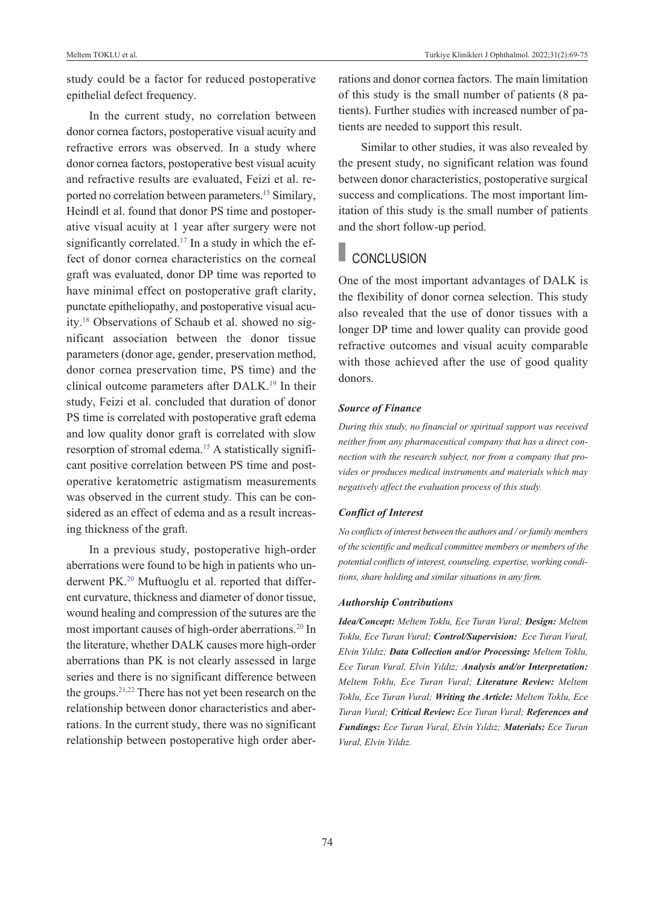study could be a factor for reduced postoperative epithelial defect frequency.

In the current study, no correlation between donor cornea factors, postoperative visual acuity and refractive errors was observed. In a study where donor cornea factors, postoperative best visual acuity and refractive results are evaluated, Feizi et al. reported no correlation between parameters[.15](#page-6-0) Similary, Heindl et al. found that donor PS time and postoperative visual acuity at 1 year after surgery were not significantly correlated.<sup>17</sup> In a study in which the effect of donor cornea characteristics on the corneal graft was evaluated, donor DP time was reported to have minimal effect on postoperative graft clarity, punctate epitheliopathy, and postoperative visual acuity[.18](#page-6-0) Observations of Schaub et al. showed no significant association between the donor tissue parameters (donor age, gender, preservation method, donor cornea preservation time, PS time) and the clinical outcome parameters after DALK.<sup>19</sup> In their study, Feizi et al. concluded that duration of donor PS time is correlated with postoperative graft edema and low quality donor graft is correlated with slow resorption of stromal edema.<sup>15</sup> A statistically significant positive correlation between PS time and postoperative keratometric astigmatism measurements was observed in the current study. This can be considered as an effect of edema and as a result increasing thickness of the graft.

In a previous study, postoperative high-order aberrations were found to be high in patients who underwent PK.<sup>20</sup> Muftuoglu et al. reported that different curvature, thickness and diameter of donor tissue, wound healing and compression of the sutures are the most important causes of high-order aberrations.<sup>20</sup> In the literature, whether DALK causes more high-order aberrations than PK is not clearly assessed in large series and there is no significant difference between the groups[.21,22](#page-6-0) There has not yet been research on the relationship between donor characteristics and aberrations. In the current study, there was no significant relationship between postoperative high order aberrations and donor cornea factors. The main limitation of this study is the small number of patients (8 patients). Further studies with increased number of patients are needed to support this result.

Similar to other studies, it was also revealed by the present study, no significant relation was found between donor characteristics, postoperative surgical success and complications. The most important limitation of this study is the small number of patients and the short follow-up period.

# **CONCLUSION**

One of the most important advantages of DALK is the flexibility of donor cornea selection. This study also revealed that the use of donor tissues with a longer DP time and lower quality can provide good refractive outcomes and visual acuity comparable with those achieved after the use of good quality donors.

#### *Source of Finance*

*During this study, no financial or spiritual support was received neither from any pharmaceutical company that has a direct connection with the research subject, nor from a company that provides or produces medical instruments and materials which may negatively affect the evaluation process of this study.* 

#### *Conflict of Interest*

*No conflicts of interest between the authors and / or family members of the scientific and medical committee members or members of the potential conflicts of interest, counseling, expertise, working conditions, share holding and similar situations in any firm.* 

#### *Authorship Contributions*

*Idea/Concept: Meltem Toklu, Ece Turan Vural; Design: Meltem Toklu, Ece Turan Vural; Control/Supervision: Ece Turan Vural, Elvin Yıldız; Data Collection and/or Processing: Meltem Toklu, Ece Turan Vural, Elvin Yıldız; Analysis and/or Interpretation: Meltem Toklu, Ece Turan Vural; Literature Review: Meltem Toklu, Ece Turan Vural; Writing the Article: Meltem Toklu, Ece Turan Vural; Critical Review: Ece Turan Vural; References and Fundings: Ece Turan Vural, Elvin Yıldız; Materials: Ece Turan Vural, Elvin Yıldız.*